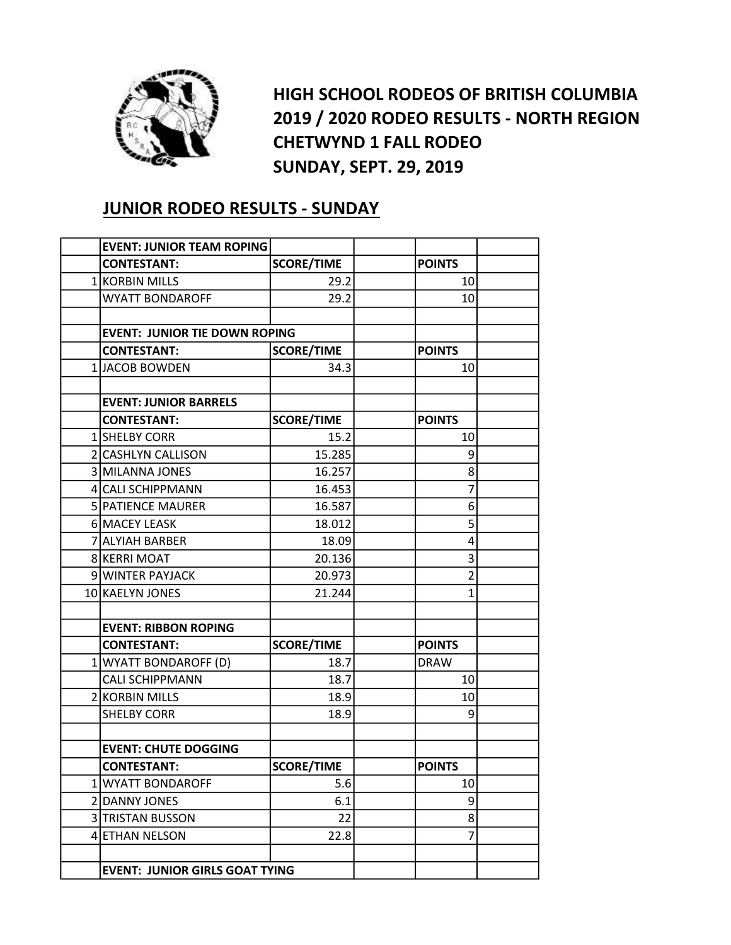

HIGH SCHOOL RODEOS OF BRITISH COLUMBIA 2019 / 2020 RODEO RESULTS - NORTH REGION CHETWYND 1 FALL RODEO SUNDAY, SEPT. 29, 2019

## JUNIOR RODEO RESULTS - SUNDAY

| <b>EVENT: JUNIOR TEAM ROPING</b>      |                   |                |  |
|---------------------------------------|-------------------|----------------|--|
| <b>CONTESTANT:</b>                    | <b>SCORE/TIME</b> | <b>POINTS</b>  |  |
| 1 KORBIN MILLS                        | 29.2              | 10             |  |
| <b>WYATT BONDAROFF</b>                | 29.2              | 10             |  |
|                                       |                   |                |  |
| <b>EVENT: JUNIOR TIE DOWN ROPING</b>  |                   |                |  |
| <b>CONTESTANT:</b>                    | <b>SCORE/TIME</b> | <b>POINTS</b>  |  |
| 1JACOB BOWDEN                         | 34.3              | 10             |  |
|                                       |                   |                |  |
| <b>EVENT: JUNIOR BARRELS</b>          |                   |                |  |
| <b>CONTESTANT:</b>                    | <b>SCORE/TIME</b> | <b>POINTS</b>  |  |
| 1 SHELBY CORR                         | 15.2              | 10             |  |
| 2 CASHLYN CALLISON                    | 15.285            | 9              |  |
| 3 MILANNA JONES                       | 16.257            | 8              |  |
| 4 CALI SCHIPPMANN                     | 16.453            | 7              |  |
| 5 PATIENCE MAURER                     | 16.587            | 6              |  |
| 6 MACEY LEASK                         | 18.012            | 5              |  |
| 7 ALYIAH BARBER                       | 18.09             | 4              |  |
| 8 KERRI MOAT                          | 20.136            | 3              |  |
| 9 WINTER PAYJACK                      | 20.973            | $\overline{2}$ |  |
| 10 KAELYN JONES                       | 21.244            | $\mathbf{1}$   |  |
|                                       |                   |                |  |
| <b>EVENT: RIBBON ROPING</b>           |                   |                |  |
| <b>CONTESTANT:</b>                    | <b>SCORE/TIME</b> | <b>POINTS</b>  |  |
| 1 WYATT BONDAROFF (D)                 | 18.7              | <b>DRAW</b>    |  |
| <b>CALI SCHIPPMANN</b>                | 18.7              | 10             |  |
| 2 KORBIN MILLS                        | 18.9              | 10             |  |
| <b>SHELBY CORR</b>                    | 18.9              | 9              |  |
|                                       |                   |                |  |
| <b>EVENT: CHUTE DOGGING</b>           |                   |                |  |
| <b>CONTESTANT:</b>                    | <b>SCORE/TIME</b> | <b>POINTS</b>  |  |
| 1 WYATT BONDAROFF                     | 5.6               | 10             |  |
| 2 DANNY JONES                         | 6.1               | 9              |  |
| 3 TRISTAN BUSSON                      | 22                | 8              |  |
| 4 ETHAN NELSON                        | 22.8              | 7              |  |
|                                       |                   |                |  |
| <b>EVENT: JUNIOR GIRLS GOAT TYING</b> |                   |                |  |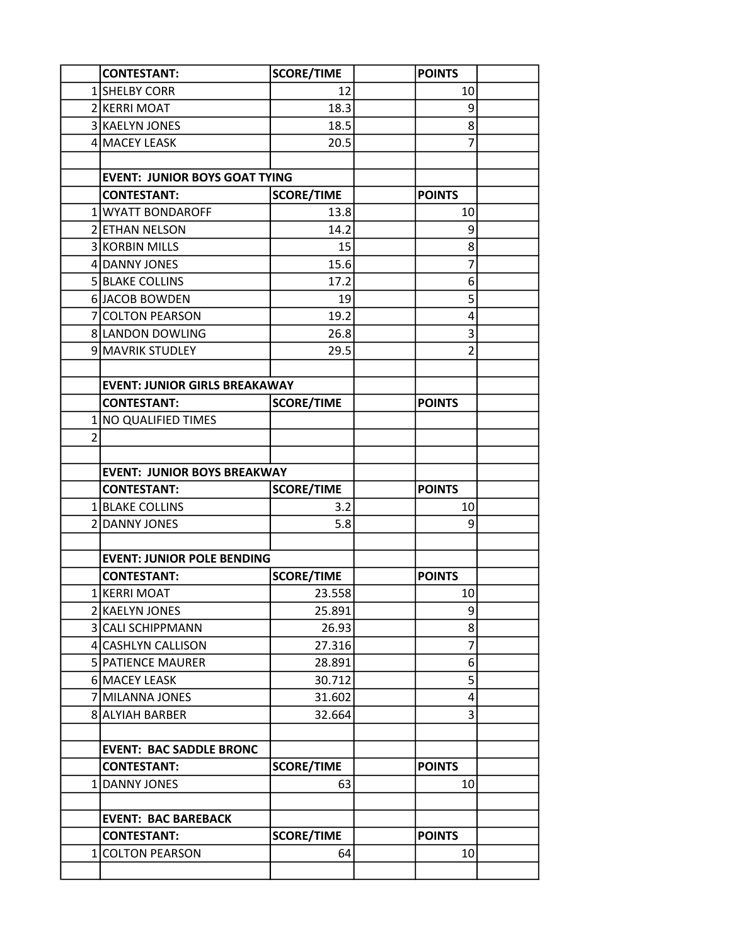|   | <b>CONTESTANT:</b>                   | <b>SCORE/TIME</b> | <b>POINTS</b>   |  |
|---|--------------------------------------|-------------------|-----------------|--|
|   | 1 SHELBY CORR                        | 12                | 10              |  |
|   | 2 KERRI MOAT                         | 18.3              | 9               |  |
|   | 3 KAELYN JONES                       | 18.5              | 8               |  |
|   | 4 MACEY LEASK                        | 20.5              | $\overline{7}$  |  |
|   |                                      |                   |                 |  |
|   | <b>EVENT: JUNIOR BOYS GOAT TYING</b> |                   |                 |  |
|   | <b>CONTESTANT:</b>                   | <b>SCORE/TIME</b> | <b>POINTS</b>   |  |
|   | <b>1 WYATT BONDAROFF</b>             | 13.8              | 10              |  |
|   | 2 ETHAN NELSON                       | 14.2              | 9               |  |
|   | 3 KORBIN MILLS                       | 15                | 8               |  |
|   | 4 DANNY JONES                        | 15.6              | 7               |  |
|   | 5 BLAKE COLLINS                      | 17.2              | 6               |  |
|   | 6 JACOB BOWDEN                       | 19                | 5               |  |
|   | 7 COLTON PEARSON                     | 19.2              | 4               |  |
|   | 8 LANDON DOWLING                     | 26.8              | 3               |  |
|   | 9 MAVRIK STUDLEY                     | 29.5              | $\overline{2}$  |  |
|   |                                      |                   |                 |  |
|   | <b>EVENT: JUNIOR GIRLS BREAKAWAY</b> |                   |                 |  |
|   | <b>CONTESTANT:</b>                   | <b>SCORE/TIME</b> | <b>POINTS</b>   |  |
|   | 1 NO QUALIFIED TIMES                 |                   |                 |  |
| 2 |                                      |                   |                 |  |
|   |                                      |                   |                 |  |
|   | <b>EVENT: JUNIOR BOYS BREAKWAY</b>   |                   |                 |  |
|   | <b>CONTESTANT:</b>                   | <b>SCORE/TIME</b> | <b>POINTS</b>   |  |
|   | 1 BLAKE COLLINS                      | 3.2               | 10              |  |
|   | 2 DANNY JONES                        | 5.8               | 9               |  |
|   |                                      |                   |                 |  |
|   | <b>EVENT: JUNIOR POLE BENDING</b>    |                   |                 |  |
|   | <b>CONTESTANT:</b>                   | <b>SCORE/TIME</b> | <b>POINTS</b>   |  |
|   | 1 KERRI MOAT                         | 23.558            | 10 <sub>l</sub> |  |
|   | 2 KAELYN JONES                       | 25.891            | 9               |  |
|   | 3 CALI SCHIPPMANN                    | 26.93             | 8               |  |
|   | 4 CASHLYN CALLISON                   | 27.316            | 7               |  |
|   | 5 PATIENCE MAURER                    | 28.891            | 6               |  |
|   | 6 MACEY LEASK                        | 30.712            | 5               |  |
|   | 7 MILANNA JONES                      | 31.602            | 4               |  |
|   | 8 ALYIAH BARBER                      | 32.664            | 3               |  |
|   | <b>EVENT: BAC SADDLE BRONC</b>       |                   |                 |  |
|   | <b>CONTESTANT:</b>                   | <b>SCORE/TIME</b> | <b>POINTS</b>   |  |
|   |                                      |                   |                 |  |
|   | 1 DANNY JONES                        | 63                | 10              |  |
|   | <b>EVENT: BAC BAREBACK</b>           |                   |                 |  |
|   | <b>CONTESTANT:</b>                   | <b>SCORE/TIME</b> | <b>POINTS</b>   |  |
|   | 1 COLTON PEARSON                     | 64                | 10              |  |
|   |                                      |                   |                 |  |
|   |                                      |                   |                 |  |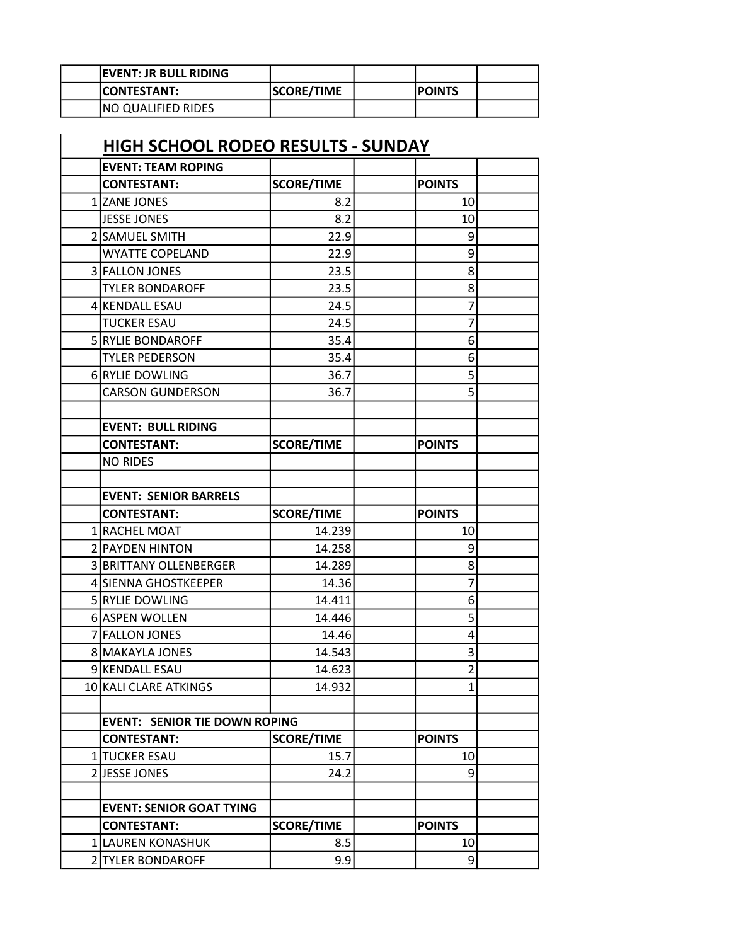| <b>IEVENT: JR BULL RIDING</b> |                   |               |  |
|-------------------------------|-------------------|---------------|--|
| <b>ICONTESTANT:</b>           | <b>SCORE/TIME</b> | <b>POINTS</b> |  |
| <b>NO QUALIFIED RIDES</b>     |                   |               |  |

## HIGH SCHOOL RODEO RESULTS - SUNDAY

 $\overline{\phantom{a}}$ 

| <b>EVENT: TEAM ROPING</b>            |                   |                |  |
|--------------------------------------|-------------------|----------------|--|
| <b>CONTESTANT:</b>                   | <b>SCORE/TIME</b> | <b>POINTS</b>  |  |
| 1 ZANE JONES                         | 8.2               | 10             |  |
| <b>JESSE JONES</b>                   | 8.2               | 10             |  |
| 2 SAMUEL SMITH                       | 22.9              | 9              |  |
| <b>WYATTE COPELAND</b>               | 22.9              | 9              |  |
| 3 FALLON JONES                       | 23.5              | 8              |  |
| <b>TYLER BONDAROFF</b>               | 23.5              | 8 <sup>1</sup> |  |
| 4 KENDALL ESAU                       | 24.5              | 7              |  |
| <b>TUCKER ESAU</b>                   | 24.5              | 7              |  |
| 5 RYLIE BONDAROFF                    | 35.4              | 6              |  |
| <b>TYLER PEDERSON</b>                | 35.4              | 6              |  |
| 6 RYLIE DOWLING                      | 36.7              | 5              |  |
| <b>CARSON GUNDERSON</b>              | 36.7              | 5              |  |
|                                      |                   |                |  |
| <b>EVENT: BULL RIDING</b>            |                   |                |  |
| <b>CONTESTANT:</b>                   | <b>SCORE/TIME</b> | <b>POINTS</b>  |  |
| <b>NO RIDES</b>                      |                   |                |  |
|                                      |                   |                |  |
| <b>EVENT: SENIOR BARRELS</b>         |                   |                |  |
| <b>CONTESTANT:</b>                   | <b>SCORE/TIME</b> | <b>POINTS</b>  |  |
| 1 RACHEL MOAT                        | 14.239            | 10             |  |
| 2 PAYDEN HINTON                      | 14.258            | 9              |  |
| 3 BRITTANY OLLENBERGER               | 14.289            | 8              |  |
| 4 SIENNA GHOSTKEEPER                 | 14.36             | 7              |  |
| 5 RYLIE DOWLING                      | 14.411            | 6              |  |
| 6 ASPEN WOLLEN                       | 14.446            | 5              |  |
| 7 FALLON JONES                       | 14.46             | 4              |  |
| 8 MAKAYLA JONES                      | 14.543            | 3              |  |
| 9 KENDALL ESAU                       | 14.623            | $\overline{2}$ |  |
| 10 KALI CLARE ATKINGS                | 14.932            | $1\vert$       |  |
|                                      |                   |                |  |
| <b>EVENT: SENIOR TIE DOWN ROPING</b> |                   |                |  |
| <b>CONTESTANT:</b>                   | <b>SCORE/TIME</b> | <b>POINTS</b>  |  |
| 1 TUCKER ESAU                        | 15.7              | 10             |  |
| 2JESSE JONES                         | 24.2              | 9              |  |
|                                      |                   |                |  |
| <b>EVENT: SENIOR GOAT TYING</b>      |                   |                |  |
| <b>CONTESTANT:</b>                   | <b>SCORE/TIME</b> | <b>POINTS</b>  |  |
| 1 LAUREN KONASHUK                    | 8.5               | 10             |  |
| 2 TYLER BONDAROFF                    | 9.9               | $\overline{9}$ |  |